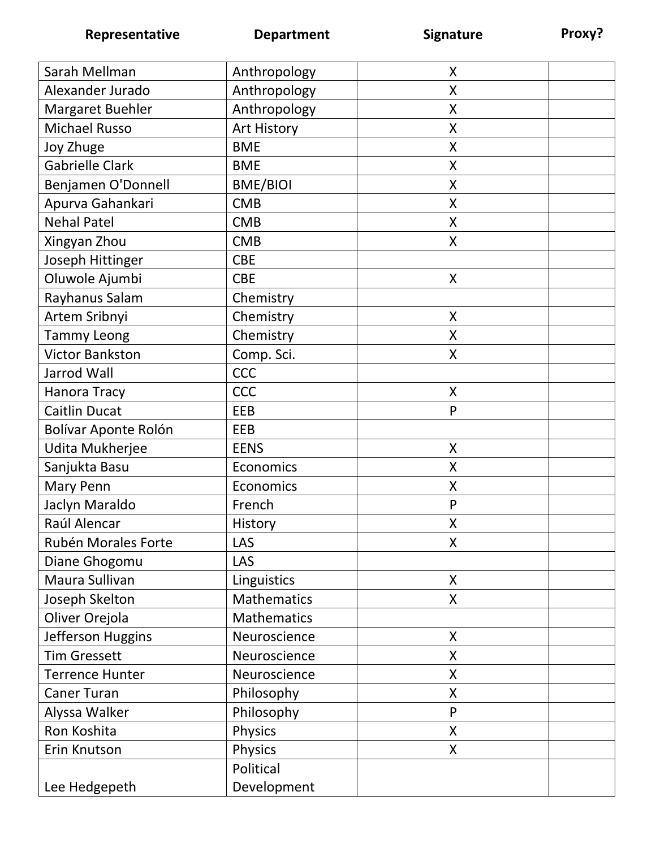| Sarah Mellman          | Anthropology    | X |  |
|------------------------|-----------------|---|--|
| Alexander Jurado       | Anthropology    | X |  |
| Margaret Buehler       | Anthropology    | X |  |
| <b>Michael Russo</b>   | Art History     | X |  |
| Joy Zhuge              | <b>BME</b>      | X |  |
| <b>Gabrielle Clark</b> | <b>BME</b>      | X |  |
| Benjamen O'Donnell     | <b>BME/BIOI</b> | X |  |
| Apurva Gahankari       | <b>CMB</b>      | X |  |
| <b>Nehal Patel</b>     | <b>CMB</b>      | X |  |
| Xingyan Zhou           | <b>CMB</b>      | X |  |
| Joseph Hittinger       | <b>CBE</b>      |   |  |
| Oluwole Ajumbi         | <b>CBE</b>      | X |  |
| Rayhanus Salam         | Chemistry       |   |  |
| Artem Sribnyi          | Chemistry       | X |  |
| <b>Tammy Leong</b>     | Chemistry       | Χ |  |
| <b>Victor Bankston</b> | Comp. Sci.      | X |  |
| Jarrod Wall            | CCC             |   |  |
| Hanora Tracy           | <b>CCC</b>      | X |  |
| <b>Caitlin Ducat</b>   | EEB             | P |  |
| Bolívar Aponte Rolón   | EEB             |   |  |
| Udita Mukherjee        | <b>EENS</b>     | X |  |
| Sanjukta Basu          | Economics       | Χ |  |
| Mary Penn              | Economics       | X |  |
| Jaclyn Maraldo         | French          | P |  |
| Raúl Alencar           | History         | Χ |  |
| Rubén Morales Forte    | LAS             | X |  |
| Diane Ghogomu          | LAS             |   |  |
| Maura Sullivan         | Linguistics     | X |  |
| Joseph Skelton         | Mathematics     | X |  |
| Oliver Orejola         | Mathematics     |   |  |
| Jefferson Huggins      | Neuroscience    | X |  |
| <b>Tim Gressett</b>    | Neuroscience    | X |  |
| <b>Terrence Hunter</b> | Neuroscience    | X |  |
| <b>Caner Turan</b>     | Philosophy      | X |  |
| Alyssa Walker          | Philosophy      | P |  |
| Ron Koshita            | Physics         | X |  |
| Erin Knutson           | <b>Physics</b>  | X |  |
|                        | Political       |   |  |
| Lee Hedgepeth          | Development     |   |  |